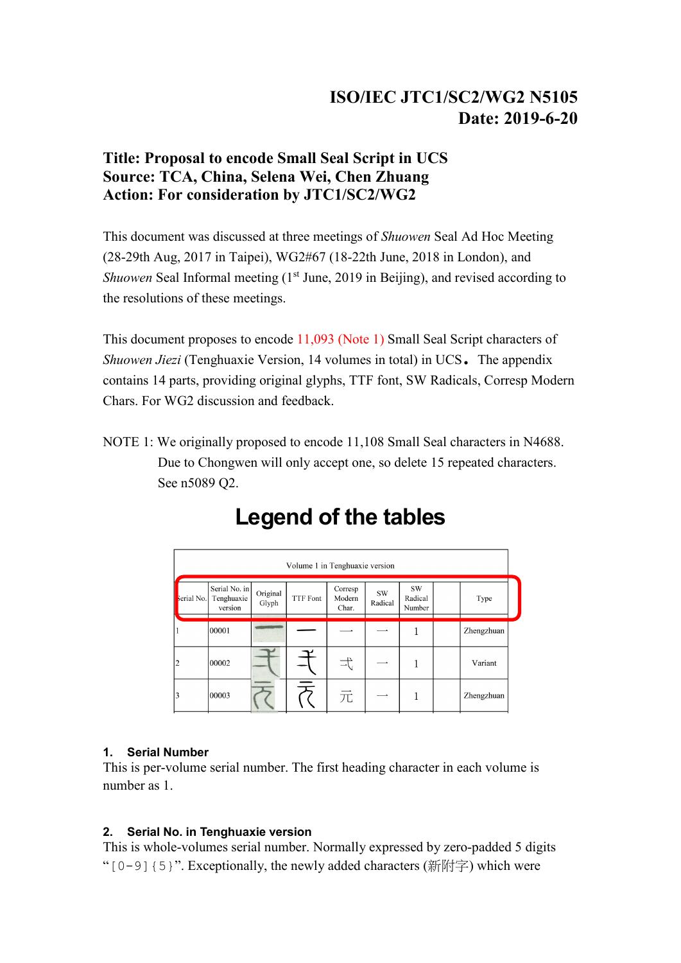## **ISO/IEC JTC1/SC2/WG2 N5105 Date: 2019-6-20**

### **Title: Proposal to encode Small Seal Script in UCS Source: TCA, China, Selena Wei, Chen Zhuang Action: For consideration by JTC1/SC2/WG2**

This document was discussed at three meetings of *Shuowen* Seal Ad Hoc Meeting (28-29th Aug, 2017 in Taipei), WG2#67 (18-22th June, 2018 in London), and *Shuowen* Seal Informal meeting (1<sup>st</sup> June, 2019 in Beijing), and revised according to the resolutions of these meetings.

This document proposes to encode 11,093 (Note 1) Small Seal Script characters of *Shuowen Jiezi* (Tenghuaxie Version, 14 volumes in total) in UCS. The appendix contains 14 parts, providing original glyphs, TTF font, SW Radicals, Corresp Modern Chars. For WG2 discussion and feedback.

NOTE 1: We originally proposed to encode 11,108 Small Seal characters in N4688. Due to Chongwen will only accept one, so delete 15 repeated characters. See n5089 Q2.

|            | Volume 1 in Tenghuaxie version         |                   |                 |                            |               |                                |  |            |  |  |  |  |  |
|------------|----------------------------------------|-------------------|-----------------|----------------------------|---------------|--------------------------------|--|------------|--|--|--|--|--|
| serial No. | Serial No. in<br>Tenghuaxie<br>version | Original<br>Glyph | <b>TTF</b> Font | Corresp<br>Modern<br>Char. | SW<br>Radical | <b>SW</b><br>Radical<br>Number |  | Type       |  |  |  |  |  |
|            | 00001                                  |                   |                 |                            |               |                                |  | Zhengzhuan |  |  |  |  |  |
| 2          | 00002                                  |                   |                 | 士                          |               |                                |  | Variant    |  |  |  |  |  |
| 3          | 00003                                  |                   |                 | 元                          | — <b>-</b>    |                                |  | Zhengzhuan |  |  |  |  |  |

# **Legend of the tables**

#### **1. Serial Number**

This is per-volume serial number. The first heading character in each volume is number as 1.

#### **2. Serial No. in Tenghuaxie version**

This is whole-volumes serial number. Normally expressed by zero-padded 5 digits " $[0-9]$  {5}". Exceptionally, the newly added characters (新附字) which were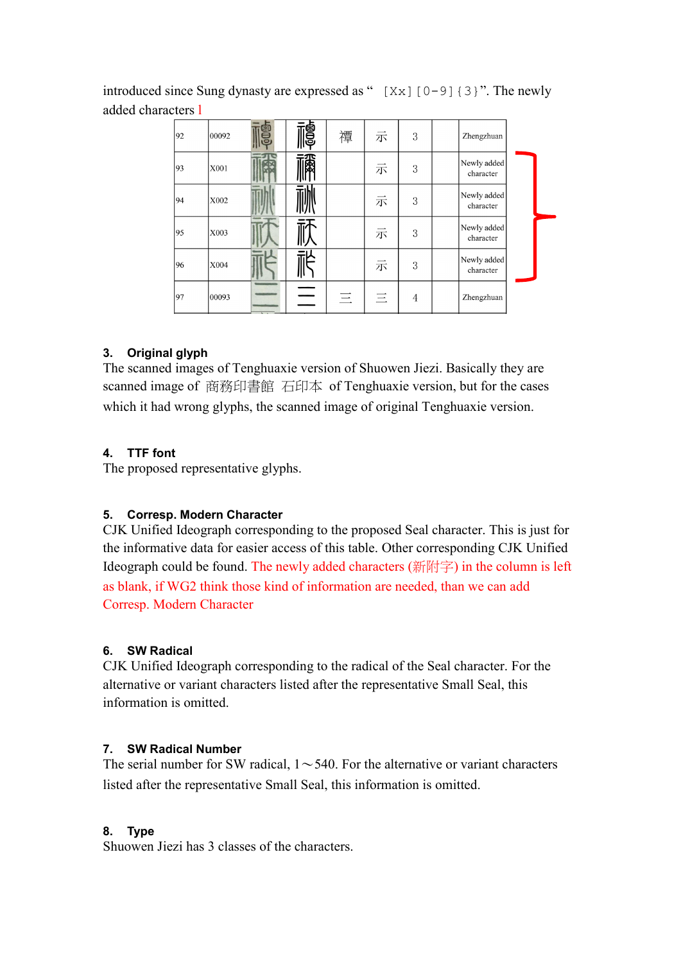introduced since Sung dynasty are expressed as " $[Xx]$ [0-9]{3}". The newly added characters l

| 92 | 00092 | e<br>Ng | 禫 | 示 | 3 | Zhengzhuan               |  |
|----|-------|---------|---|---|---|--------------------------|--|
| 93 | X001  | 福       |   | 示 | 3 | Newly added<br>character |  |
| 94 | X002  |         |   | 示 | 3 | Newly added<br>character |  |
| 95 | X003  |         |   | 示 | 3 | Newly added<br>character |  |
| 96 | X004  |         |   | 示 | 3 | Newly added<br>character |  |
| 97 | 00093 |         | 三 | 三 | 4 | Zhengzhuan               |  |

#### **3. Original glyph**

The scanned images of Tenghuaxie version of Shuowen Jiezi. Basically they are scanned image of 商務印書館 石印本 of Tenghuaxie version, but for the cases which it had wrong glyphs, the scanned image of original Tenghuaxie version.

#### **4. TTF font**

The proposed representative glyphs.

#### **5. Corresp. Modern Character**

CJK Unified Ideograph corresponding to the proposed Seal character. This is just for the informative data for easier access of this table. Other corresponding CJK Unified Ideograph could be found. The newly added characters (新附字) in the column is left as blank, if WG2 think those kind of information are needed, than we can add Corresp. Modern Character

#### **6. SW Radical**

CJK Unified Ideograph corresponding to the radical of the Seal character. For the alternative or variant characters listed after the representative Small Seal, this information is omitted.

#### **7. SW Radical Number**

The serial number for SW radical,  $1 \sim 540$ . For the alternative or variant characters listed after the representative Small Seal, this information is omitted.

#### **8. Type**

Shuowen Jiezi has 3 classes of the characters.